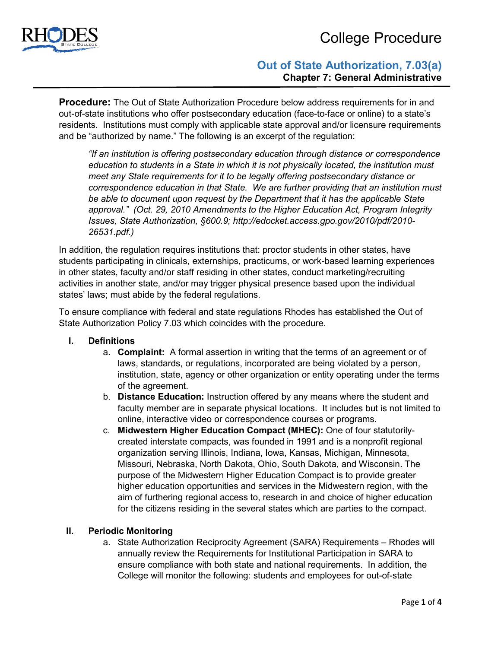

# College Procedure

# **Out of State Authorization, 7.03(a) Chapter 7: General Administrative**

**Procedure:** The Out of State Authorization Procedure below address requirements for in and out-of-state institutions who offer postsecondary education (face-to-face or online) to a state's residents. Institutions must comply with applicable state approval and/or licensure requirements and be "authorized by name." The following is an excerpt of the regulation:

*"If an institution is offering postsecondary education through distance or correspondence education to students in a State in which it is not physically located, the institution must meet any State requirements for it to be legally offering postsecondary distance or correspondence education in that State. We are further providing that an institution must be able to document upon request by the Department that it has the applicable State approval." (Oct. 29, 2010 Amendments to the Higher Education Act, Program Integrity Issues, State Authorization, §600.9; http://edocket.access.gpo.gov/2010/pdf/2010- 26531.pdf.)*

In addition, the regulation requires institutions that: proctor students in other states, have students participating in clinicals, externships, practicums, or work-based learning experiences in other states, faculty and/or staff residing in other states, conduct marketing/recruiting activities in another state, and/or may trigger physical presence based upon the individual states' laws; must abide by the federal regulations.

To ensure compliance with federal and state regulations Rhodes has established the Out of State Authorization Policy 7.03 which coincides with the procedure.

- **I. Definitions**
	- a. **Complaint:** A formal assertion in writing that the terms of an agreement or of laws, standards, or regulations, incorporated are being violated by a person, institution, state, agency or other organization or entity operating under the terms of the agreement.
	- b. **Distance Education:** Instruction offered by any means where the student and faculty member are in separate physical locations. It includes but is not limited to online, interactive video or correspondence courses or programs.
	- c. **Midwestern Higher Education Compact (MHEC):** One of four statutorilycreated interstate compacts, was founded in 1991 and is a nonprofit regional organization serving Illinois, Indiana, Iowa, Kansas, Michigan, Minnesota, Missouri, Nebraska, North Dakota, Ohio, South Dakota, and Wisconsin. The purpose of the Midwestern Higher Education Compact is to provide greater higher education opportunities and services in the Midwestern region, with the aim of furthering regional access to, research in and choice of higher education for the citizens residing in the several states which are parties to the compact.

### **II. Periodic Monitoring**

a. State Authorization Reciprocity Agreement (SARA) Requirements – Rhodes will annually review the Requirements for Institutional Participation in SARA to ensure compliance with both state and national requirements. In addition, the College will monitor the following: students and employees for out-of-state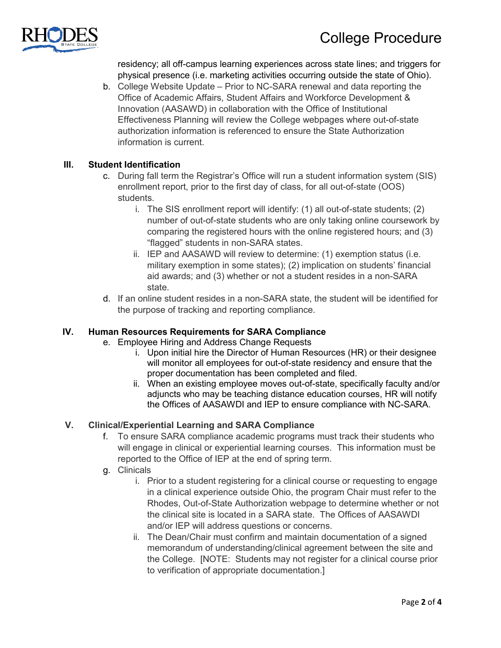

residency; all off-campus learning experiences across state lines; and triggers for physical presence (i.e. marketing activities occurring outside the state of Ohio).

b. College Website Update – Prior to NC-SARA renewal and data reporting the Office of Academic Affairs, Student Affairs and Workforce Development & Innovation (AASAWD) in collaboration with the Office of Institutional Effectiveness Planning will review the College webpages where out-of-state authorization information is referenced to ensure the State Authorization information is current.

### **III. Student Identification**

- c. During fall term the Registrar's Office will run a student information system (SIS) enrollment report, prior to the first day of class, for all out-of-state (OOS) students.
	- i. The SIS enrollment report will identify: (1) all out-of-state students; (2) number of out-of-state students who are only taking online coursework by comparing the registered hours with the online registered hours; and (3) "flagged" students in non-SARA states.
	- ii. IEP and AASAWD will review to determine: (1) exemption status (i.e. military exemption in some states); (2) implication on students' financial aid awards; and (3) whether or not a student resides in a non-SARA state.
- d. If an online student resides in a non-SARA state, the student will be identified for the purpose of tracking and reporting compliance.

### **IV. Human Resources Requirements for SARA Compliance**

- e. Employee Hiring and Address Change Requests
	- i. Upon initial hire the Director of Human Resources (HR) or their designee will monitor all employees for out-of-state residency and ensure that the proper documentation has been completed and filed.
	- ii. When an existing employee moves out-of-state, specifically faculty and/or adjuncts who may be teaching distance education courses, HR will notify the Offices of AASAWDI and IEP to ensure compliance with NC-SARA.

## **V. Clinical/Experiential Learning and SARA Compliance**

- f. To ensure SARA compliance academic programs must track their students who will engage in clinical or experiential learning courses. This information must be reported to the Office of IEP at the end of spring term.
- g. Clinicals
	- i. Prior to a student registering for a clinical course or requesting to engage in a clinical experience outside Ohio, the program Chair must refer to the Rhodes, Out-of-State Authorization webpage to determine whether or not the clinical site is located in a SARA state. The Offices of AASAWDI and/or IEP will address questions or concerns.
	- ii. The Dean/Chair must confirm and maintain documentation of a signed memorandum of understanding/clinical agreement between the site and the College. [NOTE: Students may not register for a clinical course prior to verification of appropriate documentation.]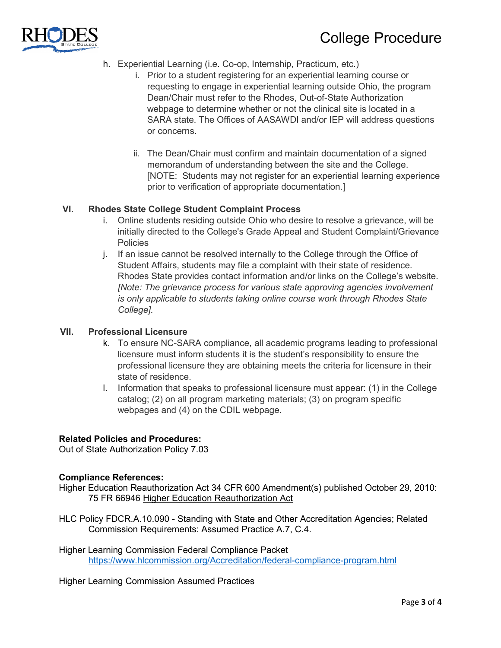

# College Procedure

- h. Experiential Learning (i.e. Co-op, Internship, Practicum, etc.)
	- i. Prior to a student registering for an experiential learning course or requesting to engage in experiential learning outside Ohio, the program Dean/Chair must refer to the Rhodes, Out-of-State Authorization webpage to determine whether or not the clinical site is located in a SARA state. The Offices of AASAWDI and/or IEP will address questions or concerns.
	- ii. The Dean/Chair must confirm and maintain documentation of a signed memorandum of understanding between the site and the College. [NOTE: Students may not register for an experiential learning experience prior to verification of appropriate documentation.]

### **VI. Rhodes State College Student Complaint Process**

- i. Online students residing outside Ohio who desire to resolve a grievance, will be initially directed to the College's Grade Appeal and Student Complaint/Grievance **Policies**
- j. If an issue cannot be resolved internally to the College through the Office of Student Affairs, students may file a complaint with their state of residence. Rhodes State provides contact information and/or links on the College's website. *[Note: The grievance process for various state approving agencies involvement is only applicable to students taking online course work through Rhodes State College].*

#### **VII. Professional Licensure**

- k. To ensure NC-SARA compliance, all academic programs leading to professional licensure must inform students it is the student's responsibility to ensure the professional licensure they are obtaining meets the criteria for licensure in their state of residence.
- l. Information that speaks to professional licensure must appear: (1) in the College catalog; (2) on all program marketing materials; (3) on program specific webpages and (4) on the CDIL webpage.

### **Related Policies and Procedures:**

Out of State Authorization Policy 7.03

#### **Compliance References:**

- Higher Education Reauthorization Act 34 CFR 600 Amendment(s) published October 29, 2010: 75 FR 66946 [Higher Education Reauthorization Act](http://www.ecfr.gov/cgi-bin/text-idx?c=ecfr;sid=422e8e1e4276e7662af45f2cd8f09d1e;rgn=div2;view=text;node=20101029%3A1.25;idno=34;cc=ecfr;start=1;size=25)
- HLC Policy FDCR.A.10.090 Standing with State and Other Accreditation Agencies; Related Commission Requirements: Assumed Practice A.7, C.4.
- Higher Learning Commission Federal Compliance Packet <https://www.hlcommission.org/Accreditation/federal-compliance-program.html>

Higher Learning Commission Assumed Practices